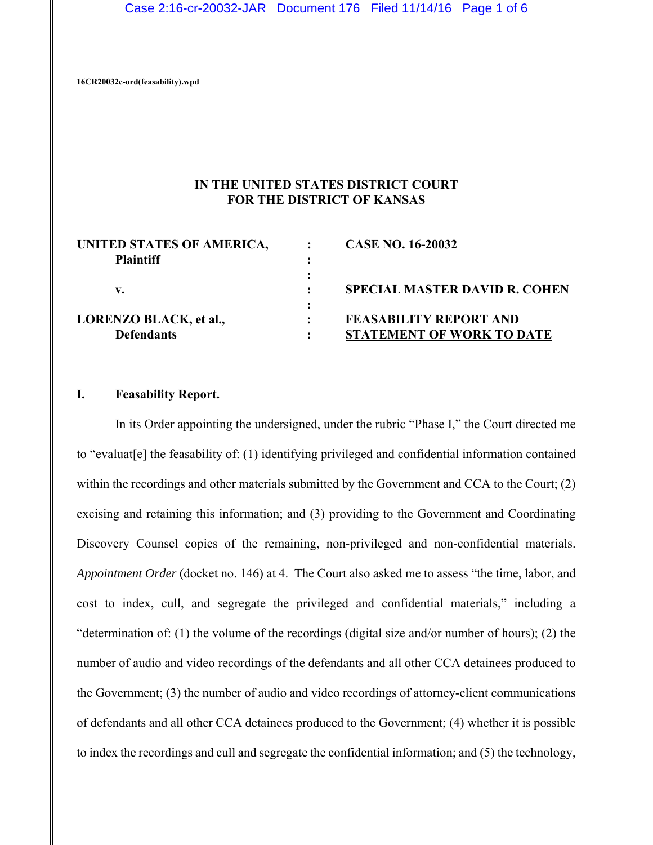Case 2:16-cr-20032-JAR Document 176 Filed 11/14/16 Page 1 of 6

**16CR20032c-ord(feasability).wpd**

# **IN THE UNITED STATES DISTRICT COURT FOR THE DISTRICT OF KANSAS**

| UNITED STATES OF AMERICA,     | <b>CASE NO. 16-20032</b>             |
|-------------------------------|--------------------------------------|
| <b>Plaintiff</b>              |                                      |
|                               |                                      |
| v.                            | <b>SPECIAL MASTER DAVID R. COHEN</b> |
|                               |                                      |
| <b>LORENZO BLACK, et al.,</b> | <b>FEASABILITY REPORT AND</b>        |
| <b>Defendants</b>             | <b>STATEMENT OF WORK TO DATE</b>     |

# **I. Feasability Report.**

In its Order appointing the undersigned, under the rubric "Phase I," the Court directed me to "evaluat[e] the feasability of: (1) identifying privileged and confidential information contained within the recordings and other materials submitted by the Government and CCA to the Court; (2) excising and retaining this information; and (3) providing to the Government and Coordinating Discovery Counsel copies of the remaining, non-privileged and non-confidential materials. *Appointment Order* (docket no. 146) at 4. The Court also asked me to assess "the time, labor, and cost to index, cull, and segregate the privileged and confidential materials," including a "determination of: (1) the volume of the recordings (digital size and/or number of hours); (2) the number of audio and video recordings of the defendants and all other CCA detainees produced to the Government; (3) the number of audio and video recordings of attorney-client communications of defendants and all other CCA detainees produced to the Government; (4) whether it is possible to index the recordings and cull and segregate the confidential information; and (5) the technology,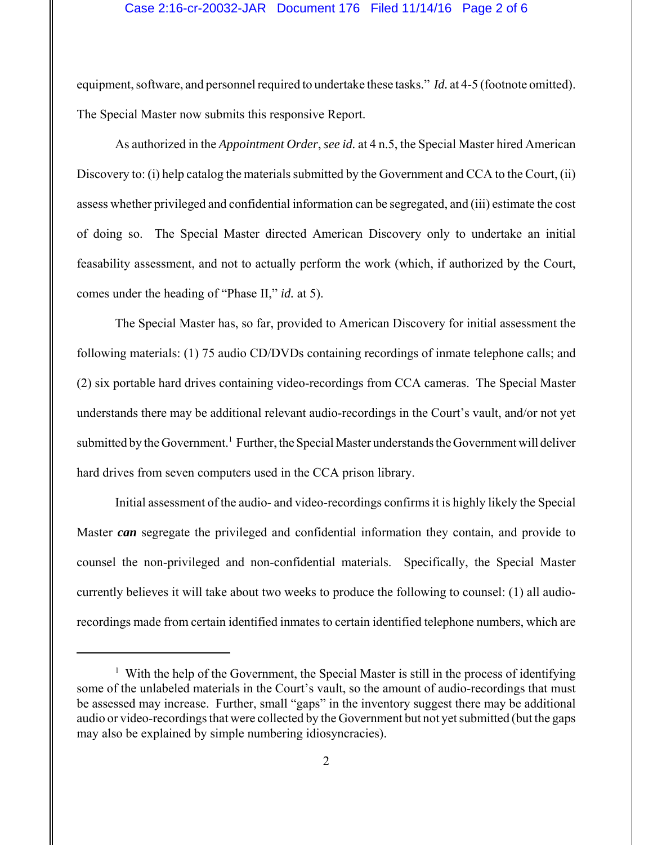### Case 2:16-cr-20032-JAR Document 176 Filed 11/14/16 Page 2 of 6

equipment, software, and personnel required to undertake these tasks." *Id.* at 4-5 (footnote omitted). The Special Master now submits this responsive Report.

As authorized in the *Appointment Order*, *see id.* at 4 n.5, the Special Master hired American Discovery to: (i) help catalog the materials submitted by the Government and CCA to the Court, (ii) assess whether privileged and confidential information can be segregated, and (iii) estimate the cost of doing so. The Special Master directed American Discovery only to undertake an initial feasability assessment, and not to actually perform the work (which, if authorized by the Court, comes under the heading of "Phase II," *id.* at 5).

The Special Master has, so far, provided to American Discovery for initial assessment the following materials: (1) 75 audio CD/DVDs containing recordings of inmate telephone calls; and (2) six portable hard drives containing video-recordings from CCA cameras. The Special Master understands there may be additional relevant audio-recordings in the Court's vault, and/or not yet submitted by the Government.<sup>1</sup> Further, the Special Master understands the Government will deliver hard drives from seven computers used in the CCA prison library.

Initial assessment of the audio- and video-recordings confirms it is highly likely the Special Master *can* segregate the privileged and confidential information they contain, and provide to counsel the non-privileged and non-confidential materials. Specifically, the Special Master currently believes it will take about two weeks to produce the following to counsel: (1) all audiorecordings made from certain identified inmates to certain identified telephone numbers, which are

<sup>&</sup>lt;sup>1</sup> With the help of the Government, the Special Master is still in the process of identifying some of the unlabeled materials in the Court's vault, so the amount of audio-recordings that must be assessed may increase. Further, small "gaps" in the inventory suggest there may be additional audio or video-recordings that were collected by the Government but not yet submitted (but the gaps may also be explained by simple numbering idiosyncracies).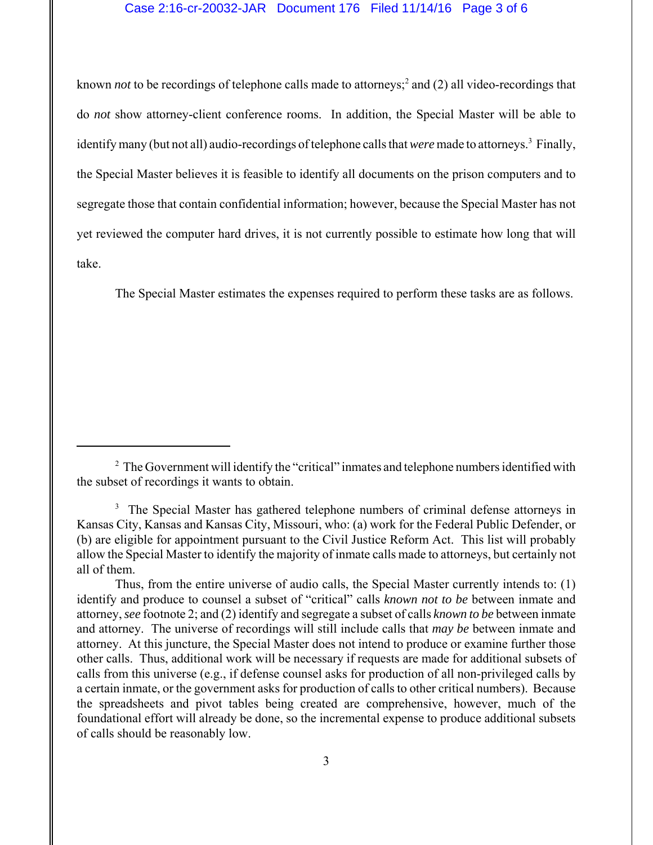## Case 2:16-cr-20032-JAR Document 176 Filed 11/14/16 Page 3 of 6

known *not* to be recordings of telephone calls made to attorneys;<sup>2</sup> and (2) all video-recordings that do *not* show attorney-client conference rooms. In addition, the Special Master will be able to identify many (but not all) audio-recordings of telephone calls that *were* made to attorneys.<sup>3</sup> Finally, the Special Master believes it is feasible to identify all documents on the prison computers and to segregate those that contain confidential information; however, because the Special Master has not yet reviewed the computer hard drives, it is not currently possible to estimate how long that will take.

The Special Master estimates the expenses required to perform these tasks are as follows.

 $2^2$  The Government will identify the "critical" inmates and telephone numbers identified with the subset of recordings it wants to obtain.

<sup>&</sup>lt;sup>3</sup> The Special Master has gathered telephone numbers of criminal defense attorneys in Kansas City, Kansas and Kansas City, Missouri, who: (a) work for the Federal Public Defender, or (b) are eligible for appointment pursuant to the Civil Justice Reform Act. This list will probably allow the Special Master to identify the majority of inmate calls made to attorneys, but certainly not all of them.

Thus, from the entire universe of audio calls, the Special Master currently intends to: (1) identify and produce to counsel a subset of "critical" calls *known not to be* between inmate and attorney, *see* footnote 2; and (2) identify and segregate a subset of calls *known to be* between inmate and attorney. The universe of recordings will still include calls that *may be* between inmate and attorney. At this juncture, the Special Master does not intend to produce or examine further those other calls. Thus, additional work will be necessary if requests are made for additional subsets of calls from this universe (e.g., if defense counsel asks for production of all non-privileged calls by a certain inmate, or the government asks for production of calls to other critical numbers). Because the spreadsheets and pivot tables being created are comprehensive, however, much of the foundational effort will already be done, so the incremental expense to produce additional subsets of calls should be reasonably low.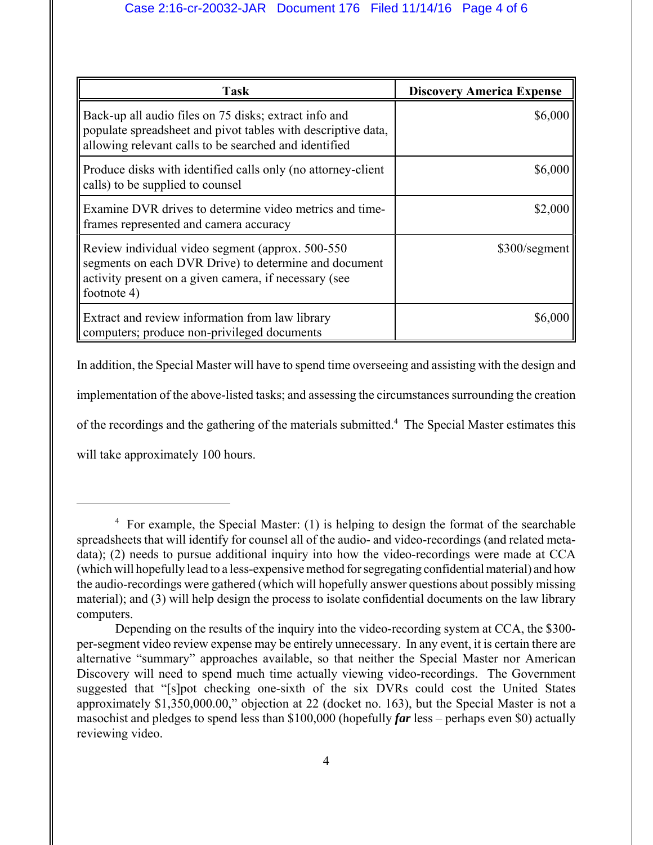| <b>Task</b>                                                                                                                                                                       | <b>Discovery America Expense</b> |
|-----------------------------------------------------------------------------------------------------------------------------------------------------------------------------------|----------------------------------|
| Back-up all audio files on 75 disks; extract info and<br>populate spreadsheet and pivot tables with descriptive data,<br>allowing relevant calls to be searched and identified    | \$6,000                          |
| Produce disks with identified calls only (no attorney-client<br>calls) to be supplied to counsel                                                                                  | \$6,000                          |
| Examine DVR drives to determine video metrics and time-<br>frames represented and camera accuracy                                                                                 | \$2,000                          |
| Review individual video segment (approx. 500-550<br>segments on each DVR Drive) to determine and document<br>activity present on a given camera, if necessary (see<br>footnote 4) | \$300/segment                    |
| Extract and review information from law library<br>computers; produce non-privileged documents                                                                                    | \$6,000                          |

In addition, the Special Master will have to spend time overseeing and assisting with the design and implementation of the above-listed tasks; and assessing the circumstances surrounding the creation of the recordings and the gathering of the materials submitted.<sup>4</sup> The Special Master estimates this will take approximately 100 hours.

<sup>&</sup>lt;sup>4</sup> For example, the Special Master: (1) is helping to design the format of the searchable spreadsheets that will identify for counsel all of the audio- and video-recordings (and related metadata); (2) needs to pursue additional inquiry into how the video-recordings were made at CCA (which will hopefully lead to a less-expensive method for segregating confidential material) and how the audio-recordings were gathered (which will hopefully answer questions about possibly missing material); and (3) will help design the process to isolate confidential documents on the law library computers.

Depending on the results of the inquiry into the video-recording system at CCA, the \$300 per-segment video review expense may be entirely unnecessary. In any event, it is certain there are alternative "summary" approaches available, so that neither the Special Master nor American Discovery will need to spend much time actually viewing video-recordings. The Government suggested that "[s]pot checking one-sixth of the six DVRs could cost the United States approximately \$1,350,000.00," objection at 22 (docket no. 163), but the Special Master is not a masochist and pledges to spend less than \$100,000 (hopefully *far* less – perhaps even \$0) actually reviewing video.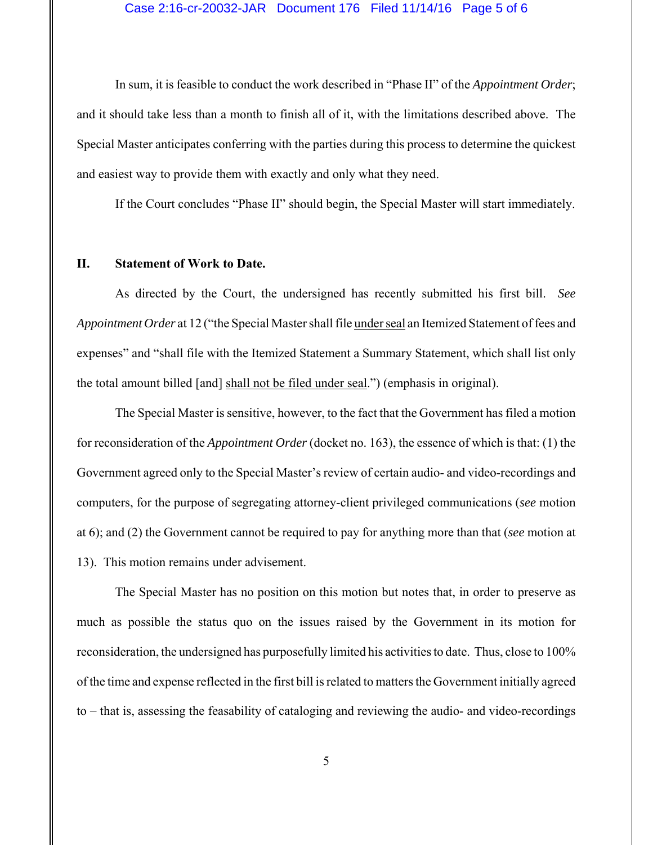#### Case 2:16-cr-20032-JAR Document 176 Filed 11/14/16 Page 5 of 6

In sum, it is feasible to conduct the work described in "Phase II" of the *Appointment Order*; and it should take less than a month to finish all of it, with the limitations described above. The Special Master anticipates conferring with the parties during this process to determine the quickest and easiest way to provide them with exactly and only what they need.

If the Court concludes "Phase II" should begin, the Special Master will start immediately.

# **II. Statement of Work to Date.**

As directed by the Court, the undersigned has recently submitted his first bill. *See Appointment Order* at 12 ("the Special Master shall file under seal an Itemized Statement of fees and expenses" and "shall file with the Itemized Statement a Summary Statement, which shall list only the total amount billed [and] shall not be filed under seal.") (emphasis in original).

The Special Master is sensitive, however, to the fact that the Government has filed a motion for reconsideration of the *Appointment Order* (docket no. 163), the essence of which is that: (1) the Government agreed only to the Special Master's review of certain audio- and video-recordings and computers, for the purpose of segregating attorney-client privileged communications (*see* motion at 6); and (2) the Government cannot be required to pay for anything more than that (*see* motion at 13). This motion remains under advisement.

The Special Master has no position on this motion but notes that, in order to preserve as much as possible the status quo on the issues raised by the Government in its motion for reconsideration, the undersigned has purposefully limited his activities to date. Thus, close to 100% of the time and expense reflected in the first bill is related to matters the Government initially agreed to – that is, assessing the feasability of cataloging and reviewing the audio- and video-recordings